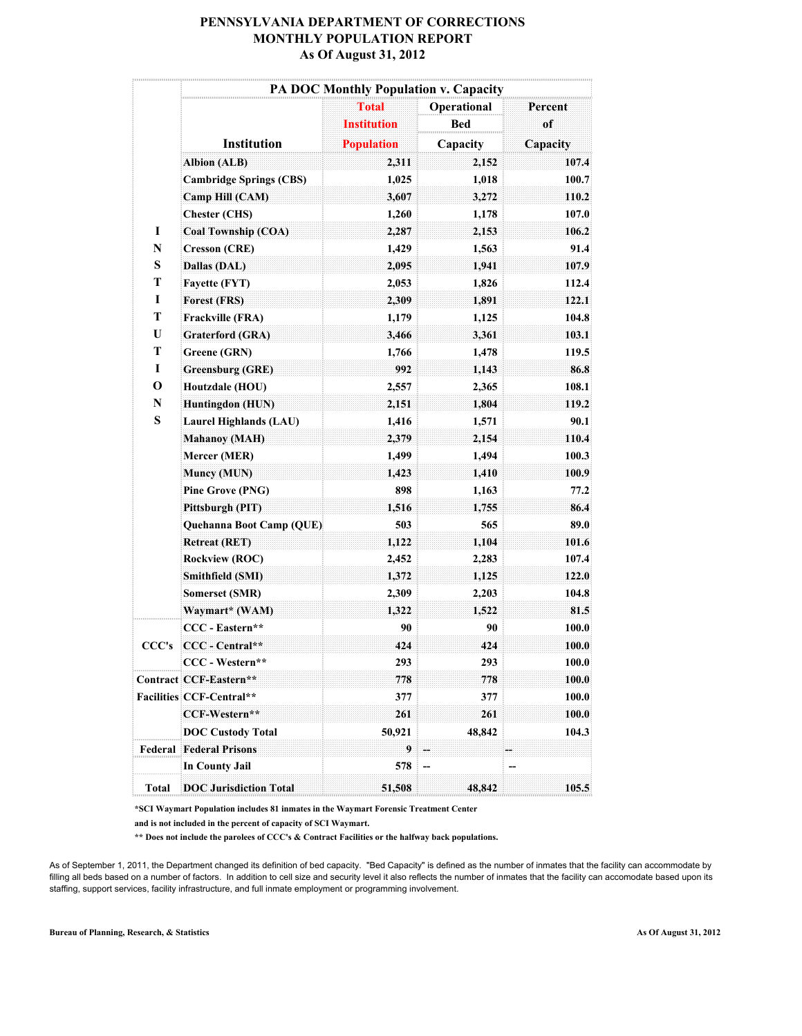|             |                                | PA DOC Monthly Population v. Capacity<br><b>Total</b> | Operational |               |  |  |
|-------------|--------------------------------|-------------------------------------------------------|-------------|---------------|--|--|
|             |                                | <b>Institution</b>                                    | Bed         | Percent<br>of |  |  |
|             | Institution                    | <b>Population</b>                                     |             |               |  |  |
|             |                                |                                                       | Capacity    | Capacity      |  |  |
|             | <b>Albion</b> (ALB)            | 2,311                                                 | 2,152       | 107.4         |  |  |
|             | <b>Cambridge Springs (CBS)</b> | 1,025                                                 | 1,018       | 100.7         |  |  |
|             | Camp Hill (CAM)                | 3,607                                                 | 3,272       | 110.2         |  |  |
|             | <b>Chester (CHS)</b>           | 1,260                                                 | 1,178       | 107.0         |  |  |
| I           | <b>Coal Township (COA)</b>     | 2,287                                                 | 2,153       | 106.2         |  |  |
| N           | <b>Cresson (CRE)</b>           | 1,429                                                 | 1,563       | 91.4          |  |  |
| S           | Dallas (DAL)                   | 2,095                                                 | 1,941       | 107.9         |  |  |
| T           | <b>Fayette (FYT)</b>           | 2,053                                                 | 1,826       | 112.4         |  |  |
| $\bf{I}$    | Forest (FRS)                   | 2,309                                                 | 1,891       | 122.1         |  |  |
| T           | Frackville (FRA)               | 1,179                                                 | 1,125       | 104.8         |  |  |
| U           | <b>Graterford (GRA)</b>        | 3,466                                                 | 3,361       | 103.1         |  |  |
| T           | Greene (GRN)                   | 1,766                                                 | 1,478       | 119.5         |  |  |
| I           | <b>Greensburg (GRE)</b>        | 992                                                   | 1,143       | 86.8          |  |  |
| $\mathbf 0$ | Houtzdale (HOU)                | 2,557                                                 | 2,365       | 108.1         |  |  |
| N           | <b>Huntingdon (HUN)</b>        | 2,151                                                 | 1,804       | 119.2         |  |  |
| ${\bf S}$   | <b>Laurel Highlands (LAU)</b>  | 1,416                                                 | 1,571       | 90.1          |  |  |
|             | <b>Mahanoy (MAH)</b>           | 2,379                                                 | 2,154       | 110.4         |  |  |
|             | Mercer (MER)                   | 1,499                                                 | 1,494       | 100.3         |  |  |
|             | <b>Muncy (MUN)</b>             | 1,423                                                 | 1,410       | 100.9         |  |  |
|             | <b>Pine Grove (PNG)</b>        | 898                                                   | 1,163       | 77.2          |  |  |
|             | Pittsburgh (PIT)               | 1,516                                                 | 1,755       | 86.4          |  |  |
|             | Quehanna Boot Camp (QUE)       | 503                                                   | 565         | 89.0          |  |  |
|             | <b>Retreat (RET)</b>           | 1,122                                                 | 1,104       | 101.6         |  |  |
|             | <b>Rockview (ROC)</b>          | 2,452                                                 | 2,283       | 107.4         |  |  |
|             | Smithfield (SMI)               | 1,372                                                 | 1,125       | 122.0         |  |  |
|             | <b>Somerset (SMR)</b>          | 2,309                                                 | 2,203       | 104.8         |  |  |
|             | Waymart* (WAM)                 | 1,322                                                 | 1,522       | 81.5          |  |  |
|             | CCC - Eastern**                | 90                                                    | 90          | 100.0         |  |  |
| CCC's       | CCC - Central**                | 424                                                   | 424         | 100.0         |  |  |
|             | CCC - Western**                | 293                                                   | 293         | 100.0         |  |  |
|             | Contract CCF-Eastern**         | 778                                                   | 778         | 100.0         |  |  |
|             | Facilities CCF-Central**       | 377                                                   | 377         | 100.0         |  |  |
|             | CCF-Western**                  | 261                                                   | 261         | 100.0         |  |  |
|             | <b>DOC Custody Total</b>       | 50,921                                                | 48,842      | 104.3         |  |  |
|             | <b>Federal Federal Prisons</b> | 9                                                     |             |               |  |  |
|             | <b>In County Jail</b>          | 578                                                   |             |               |  |  |
| Total       | <b>DOC Jurisdiction Total</b>  | 51,508                                                | 48.842      | 105.5         |  |  |

**\*SCI Waymart Population includes 81 inmates in the Waymart Forensic Treatment Center**

**and is not included in the percent of capacity of SCI Waymart.**

**\*\* Does not include the parolees of CCC's & Contract Facilities or the halfway back populations.**

As of September 1, 2011, the Department changed its definition of bed capacity. "Bed Capacity" is defined as the number of inmates that the facility can accommodate by filling all beds based on a number of factors. In addition to cell size and security level it also reflects the number of inmates that the facility can accomodate based upon its staffing, support services, facility infrastructure, and full inmate employment or programming involvement.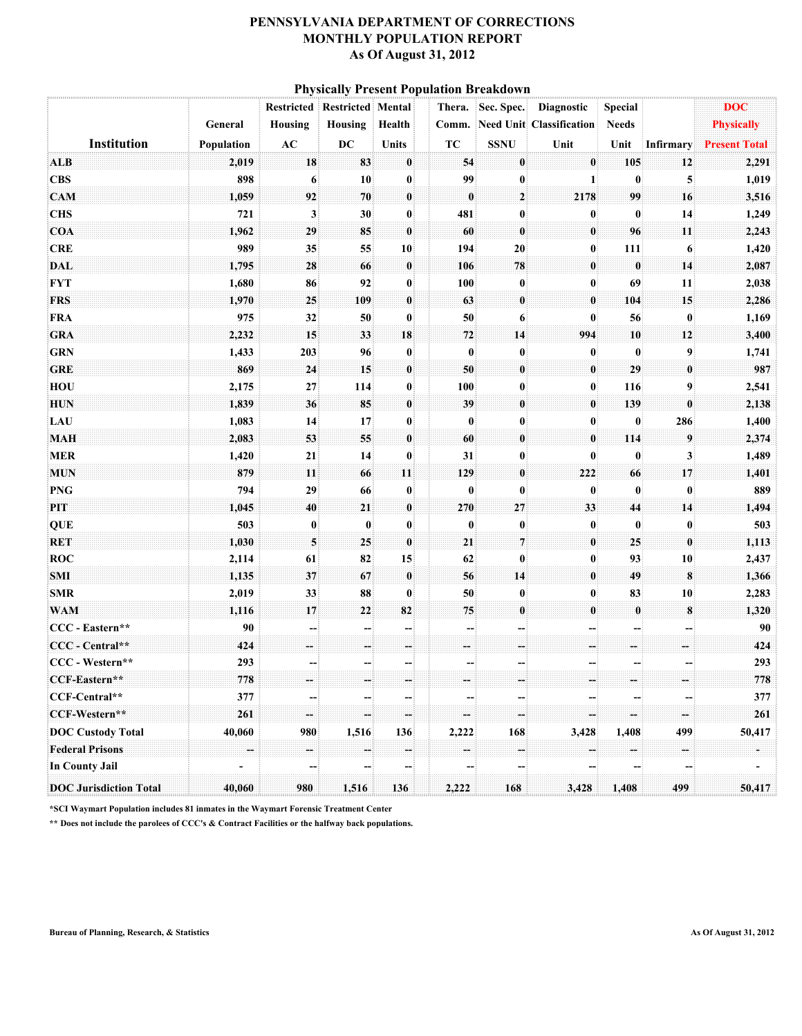#### **Physically Present Population Breakdown**

|                               |            |                         | <b>Restricted Restricted Mental</b> |                  | Thera. |                                  | Sec. Spec. Diagnostic          | <b>Special</b> |                         | <b>DOC</b>           |
|-------------------------------|------------|-------------------------|-------------------------------------|------------------|--------|----------------------------------|--------------------------------|----------------|-------------------------|----------------------|
|                               | General    | Housing                 | Housing                             | Health           |        |                                  | Comm. Need Unit Classification | <b>Needs</b>   |                         | <b>Physically</b>    |
| Institution                   | Population | AC                      | DC                                  | <b>Units</b>     | TC     | <b>SSNU</b>                      | Unit                           | Unit           | <b>Infirmary</b>        | <b>Present Total</b> |
| <b>ALB</b>                    | 2,019      | 18                      | 83                                  | $\boldsymbol{0}$ | 54     | $\boldsymbol{0}$                 | $\bf{0}$                       | 105            | 12                      | 2,291                |
| <b>CBS</b>                    | 898        | 6                       | 10                                  | $\mathbf{0}$     | 99     | $\mathbf{0}$                     | 1                              | $\bf{0}$       | $\overline{\mathbf{5}}$ | 1,019                |
| CAM                           | 1,059      | 92                      | 70                                  | $\mathbf{0}$     |        | $\mathbf{0}$<br>$\boldsymbol{2}$ | 2178                           | 99             | 16                      | 3,516                |
| <b>CHS</b>                    | 721        | $\mathbf{3}$            | 30                                  | $\mathbf{0}$     | 481    | $\bf{0}$                         | $\mathbf{0}$                   | $\mathbf{0}$   | 14                      | 1,249                |
| <b>COA</b>                    | 1,962      | 29                      | 85                                  | $\bf{0}$         | 60     | $\mathbf{0}$                     | $\boldsymbol{0}$               | 96             | $ \mathbf{11} $         | 2,243                |
| <b>CRE</b>                    | 989        | 35                      | 55                                  | 10 <sup>1</sup>  | 194    | 20                               | $\mathbf{0}$                   | 111            | 6                       | 1,420                |
| <b>DAL</b>                    | 1,795      | 28                      | 66                                  | $\boldsymbol{0}$ | 106    | 78                               | $\boldsymbol{0}$               | $\bf{0}$       | 14                      | 2,087                |
| <b>FYT</b>                    | 1,680      | 86                      | 92                                  | $\mathbf{0}$     | 100    | $\bf{0}$                         | $\mathbf{0}$                   | 69             | 11                      | 2,038                |
| <b>FRS</b>                    | 1,970      | 25                      | 109                                 | $\bf{0}$         | 63     | 0                                | $\boldsymbol{0}$               | 104            | 15                      | 2,286                |
| <b>FRA</b>                    | 975        | 32                      | 50                                  | $\mathbf{0}$     | 50     | 6                                | $\bf{0}$                       | 56             | $\mathbf{0}$            | 1,169                |
| <b>GRA</b>                    | 2,232      | 15                      | 33                                  | 18               | 72     | 14                               | 994                            | ${\bf 10}$     | 12                      | 3,400                |
| <b>GRN</b>                    | 1,433      | 203                     | 96                                  | $\mathbf{0}$     |        | $\bf{0}$<br>$\bf{0}$             | $\bf{0}$                       | $\mathbf{0}$   | 9 <sup>1</sup>          | 1,741                |
| <b>GRE</b>                    | 869        | 24                      | 15                                  | $\mathbf{0}$     | 50     | $\boldsymbol{0}$                 | $\bf{0}$                       | 29             | $\mathbf{0}$            | 987                  |
| HOU                           | 2,175      | $\bf 27$                | 114                                 | $\mathbf{0}$     | 100    | $\bf{0}$                         | $\mathbf{0}$                   | 116            | 9                       | 2,541                |
| <b>HUN</b>                    | 1,839      | 36                      | 85                                  | $\mathbf{0}$     | 39     | 0                                | $\bf{0}$                       | 139            | $\bm{0}$                | 2,138                |
| LAU                           | 1,083      | 14                      | 17                                  | $\mathbf{0}$     |        | $\bf{0}$<br>$\bf{0}$             | $\mathbf{0}$                   | $\mathbf{0}$   | 286                     | 1,400                |
| <b>MAH</b>                    | 2,083      | 53                      | 55                                  | $\boldsymbol{0}$ | 60     | 0                                | $\mathbf{0}$                   | 114            | 9                       | 2,374                |
| <b>MER</b>                    | 1,420      | 21                      | 14                                  | $\mathbf{0}$     | 31     | $\bf{0}$                         | $\bf{0}$                       | $\mathbf{0}$   | $\mathbf{3}$            | 1,489                |
| <b>MUN</b>                    | 879        | 11                      | 66                                  | 11               | 129    | $\boldsymbol{0}$                 | 222                            | 66             | 17                      | 1,401                |
| PNG                           | 794        | 29                      | 66                                  | $\mathbf{0}$     |        | $\boldsymbol{0}$<br>$\bf{0}$     | $\bf{0}$                       | $\bf{0}$       | $\mathbf{0}$            | 889                  |
| <b>PIT</b>                    | 1,045      | 40                      | 21                                  | $\mathbf{0}$     | 270    | 27                               | 33                             | 44             | 14                      | 1,494                |
| QUE                           | 503        | $\bf{0}$                | $\bf{0}$                            | $\mathbf{0}$     |        | $\bf{0}$<br>$\bf{0}$             | $\mathbf{0}$                   | $\mathbf{0}$   | $\mathbf{0}$            | 503                  |
| <b>RET</b>                    | 1,030      | $\overline{\mathbf{5}}$ | 25                                  | $\bf{0}$         | 21     | 7                                | $\boldsymbol{0}$               | 25             | 0                       | 1,113                |
| ROC                           | 2,114      | 61                      | 82                                  | 15               | 62     | $\bf{0}$                         | $\mathbf{0}$                   | 93             | 10                      | 2,437                |
| <b>SMI</b>                    | 1,135      | 37                      | 67                                  | $\mathbf{0}$     | 56     | 14                               | $\boldsymbol{0}$               | 49             | 8.                      | 1,366                |
| <b>SMR</b>                    | 2,019      | 33                      | 88                                  | $\mathbf{0}$     | 50     | $\bf{0}$                         | $\bf{0}$                       | 83             | 10                      | 2,283                |
| <b>WAM</b>                    | 1,116      | 17                      | 22                                  | 82               | 75     | $\boldsymbol{\theta}$            | $\boldsymbol{0}$               | $\bf{0}$       | 8                       | 1,320                |
| CCC - Eastern**               | 90         |                         |                                     |                  |        |                                  |                                |                |                         | 90                   |
| CCC - Central**               | 424        |                         |                                     |                  |        |                                  |                                |                |                         | 424                  |
| CCC - Western**               | 293        |                         |                                     | --               |        |                                  | --                             |                |                         | 293                  |
| CCF-Eastern**                 | 778        | ÷                       |                                     |                  |        |                                  |                                |                |                         | 778                  |
| CCF-Central**                 | 377        |                         |                                     |                  |        |                                  |                                |                |                         | 377                  |
| CCF-Western**                 | 261        |                         |                                     |                  |        |                                  |                                |                |                         | 261                  |
| <b>DOC Custody Total</b>      | 40,060     | 980                     | 1,516                               | 136              | 2,222  | 168                              | 3,428                          | 1,408          | 499                     | 50,417               |
| <b>Federal Prisons</b>        |            | m                       |                                     |                  |        |                                  |                                |                |                         |                      |
| <b>In County Jail</b>         |            |                         |                                     |                  |        |                                  |                                |                |                         |                      |
| <b>DOC Jurisdiction Total</b> | 40,060     | 980                     | 1,516                               | 136              | 2,222  | 168                              | 3,428                          | 1,408          | 499                     | 50,417               |

**\*SCI Waymart Population includes 81 inmates in the Waymart Forensic Treatment Center**

**\*\* Does not include the parolees of CCC's & Contract Facilities or the halfway back populations.**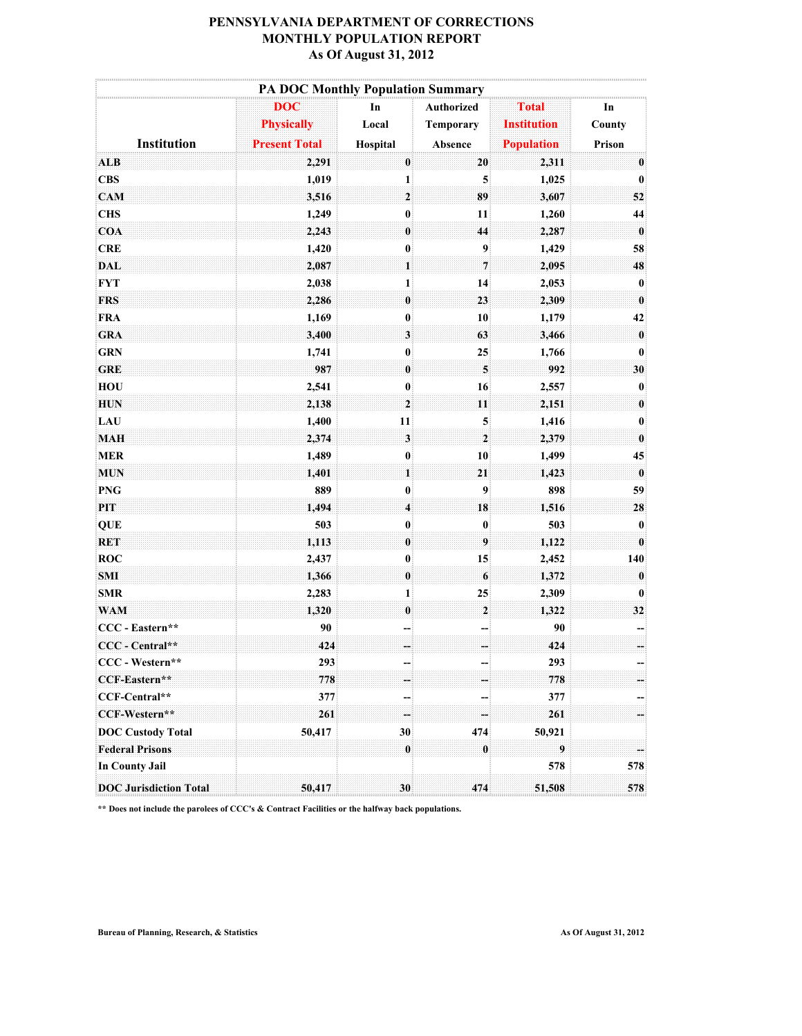|                               | <b>PA DOC Monthly Population Summary</b>                |                         |                                           |                                                         |                        |  |
|-------------------------------|---------------------------------------------------------|-------------------------|-------------------------------------------|---------------------------------------------------------|------------------------|--|
| Institution                   | <b>DOC</b><br><b>Physically</b><br><b>Present Total</b> | In<br>Local<br>Hospital | Authorized<br><b>Temporary</b><br>Absence | <b>Total</b><br><b>Institution</b><br><b>Population</b> | In<br>County<br>Prison |  |
| <b>ALB</b>                    | 2,291                                                   | $\mathbf{0}$            | 20                                        | 2,311                                                   | $\bm{0}$               |  |
| <b>CBS</b>                    | 1,019                                                   | $\mathbf{1}$            | 5.                                        | 1,025                                                   | $\boldsymbol{0}$       |  |
| <b>CAM</b>                    | 3,516                                                   | $\mathbf{2}$            | 89                                        | 3,607                                                   | 52                     |  |
| <b>CHS</b>                    | 1,249                                                   | $\mathbf{0}$            | 11                                        | 1,260                                                   | 44                     |  |
| <b>COA</b>                    | 2,243                                                   | $\mathbf{0}$            | 44                                        | 2,287                                                   | $\pmb{0}$              |  |
| <b>CRE</b>                    | 1,420                                                   | $\mathbf{0}$            | 9 <sup>1</sup>                            | 1,429                                                   | 58                     |  |
| <b>DAL</b>                    | 2,087                                                   | $\mathbf{1}$            | $\overline{7}$                            | 2,095                                                   | 48                     |  |
| <b>FYT</b>                    | 2,038                                                   | $\mathbf{1}$            | 14                                        | 2,053                                                   | $\mathbf{0}$           |  |
| <b>FRS</b>                    | 2,286                                                   | $\bf{0}$                | 23                                        | 2,309                                                   | $\pmb{0}$              |  |
| <b>FRA</b>                    | 1,169                                                   | $\mathbf{0}$            | 10 <sup>1</sup>                           | 1,179                                                   | 42                     |  |
| <b>GRA</b>                    | 3,400                                                   | $3^{\circ}$             | 63                                        | 3,466                                                   | $\pmb{0}$              |  |
| <b>GRN</b>                    | 1,741                                                   | $\mathbf{0}$            | 25                                        | 1,766                                                   | $\boldsymbol{0}$       |  |
| <b>GRE</b>                    | 987                                                     | $\mathbf{0}$            | $\overline{\mathbf{5}}$                   | 992                                                     | 30                     |  |
| <b>HOU</b>                    | 2,541                                                   | $\mathbf{0}$            | 16                                        | 2,557                                                   | $\boldsymbol{0}$       |  |
| <b>HUN</b>                    | 2,138                                                   | $2^{\circ}$             | 11                                        | 2,151                                                   | $\pmb{0}$              |  |
| LAU                           | 1,400                                                   | 11                      | $\overline{\mathbf{5}}$                   | 1,416                                                   | $\boldsymbol{0}$       |  |
| <b>MAH</b>                    | 2,374                                                   | 3 <sub>1</sub>          | $\mathbf{2}$                              | 2,379                                                   | $\pmb{0}$              |  |
| <b>MER</b>                    | 1,489                                                   | $\mathbf{0}$            | 10 <sub>1</sub>                           | 1,499                                                   | 45                     |  |
| <b>MUN</b>                    | 1,401                                                   | 11                      | 21                                        | 1,423                                                   | $\pmb{0}$              |  |
| <b>PNG</b>                    | 889                                                     | $\mathbf{0}$            | 9 <sup>1</sup>                            | 898                                                     | 59                     |  |
| PIT                           | 1,494                                                   | $\overline{\mathbf{4}}$ | 18                                        | 1,516                                                   | ${\bf 28}$             |  |
| <b>QUE</b>                    | 503                                                     | $\mathbf{0}$            | $\mathbf{0}$                              | 503                                                     | $\boldsymbol{0}$       |  |
| <b>RET</b>                    | 1,113                                                   | $\bf{0}$                | 9                                         | 1,122                                                   | $\bf{0}$               |  |
| <b>ROC</b>                    | 2,437                                                   | $\mathbf{0}$            | 15                                        | 2,452                                                   | 140                    |  |
| <b>SMI</b>                    | 1,366                                                   | $\bm{0}$                | 6                                         | 1,372                                                   | $\pmb{0}$              |  |
| <b>SMR</b>                    | 2,283                                                   | $\mathbf{1}$            | 25                                        | 2,309                                                   | $\boldsymbol{0}$       |  |
| <b>WAM</b>                    | 1,320                                                   | $\mathbf{0}$            | $\boldsymbol{\mathsf{2}}$                 | 1,322                                                   | 32                     |  |
| CCC - Eastern**               | 90                                                      |                         |                                           | 90                                                      |                        |  |
| CCC - Central**               | 424                                                     |                         |                                           | 424                                                     |                        |  |
| CCC - Western**               | 293                                                     |                         |                                           | 293                                                     |                        |  |
| CCF-Eastern**                 | 778                                                     |                         |                                           | 778                                                     |                        |  |
| CCF-Central**                 | 377                                                     |                         |                                           | 377                                                     |                        |  |
| CCF-Western**                 | 261                                                     |                         |                                           | 261                                                     |                        |  |
| <b>DOC Custody Total</b>      | 50,417                                                  | 30                      | 474                                       | 50,921                                                  |                        |  |
| <b>Federal Prisons</b>        |                                                         | $\mathbf{0}$            | $\boldsymbol{0}$                          | 9                                                       |                        |  |
| <b>In County Jail</b>         |                                                         |                         |                                           | 578                                                     | 578                    |  |
| <b>DOC Jurisdiction Total</b> | 50,417                                                  | 30                      | 474                                       | 51,508                                                  | 578                    |  |

**\*\* Does not include the parolees of CCC's & Contract Facilities or the halfway back populations.**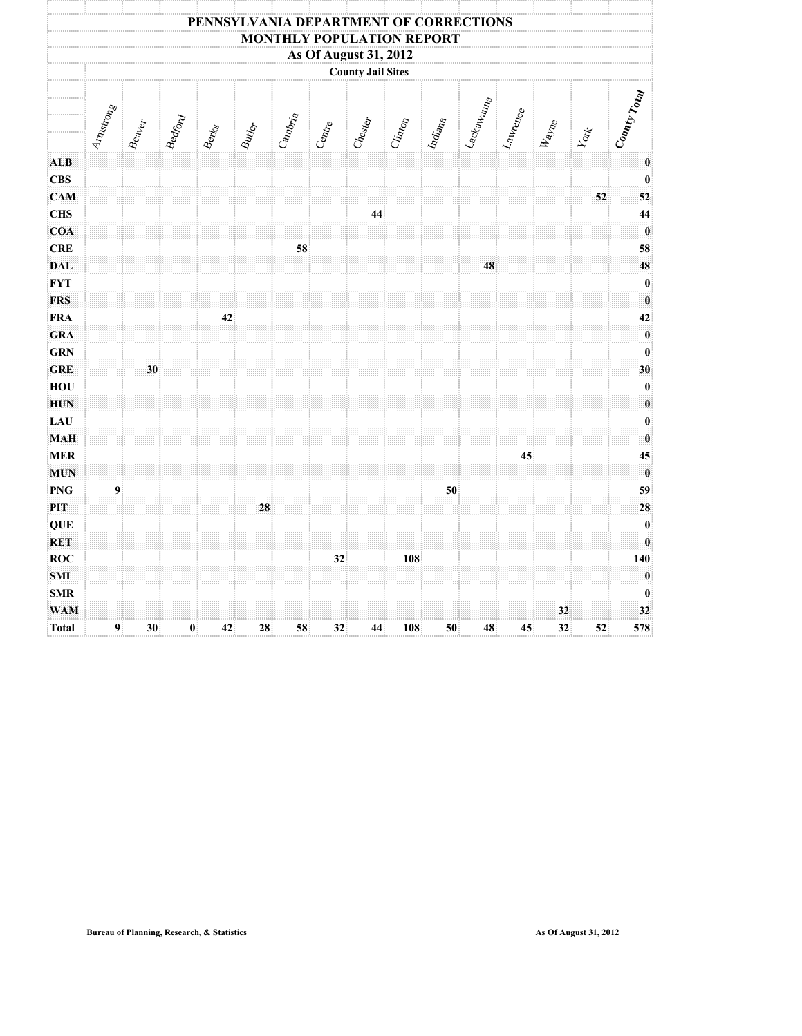|                          |                  |                                   |                |                                        |                                    | PENNSYLVANIA DEPARTMENT OF CORRECTIONS |                       |                          |         |         |                               |          |                       |              |                                                                                                                                                      |
|--------------------------|------------------|-----------------------------------|----------------|----------------------------------------|------------------------------------|----------------------------------------|-----------------------|--------------------------|---------|---------|-------------------------------|----------|-----------------------|--------------|------------------------------------------------------------------------------------------------------------------------------------------------------|
|                          |                  |                                   |                |                                        |                                    | <b>MONTHLY POPULATION REPORT</b>       |                       |                          |         |         |                               |          |                       |              |                                                                                                                                                      |
|                          |                  |                                   |                |                                        |                                    |                                        | As Of August 31, 2012 |                          |         |         |                               |          |                       |              |                                                                                                                                                      |
|                          |                  |                                   |                |                                        |                                    |                                        |                       | <b>County Jail Sites</b> |         |         |                               |          |                       |              |                                                                                                                                                      |
|                          | Amstrong         | $\mathcal{B}_{eq_{p_{e_{\tau}}}}$ | <b>Bedford</b> | $\mathcal{B}_{\text{Cyl}_{\text{GS}}}$ | $\cup_{\mathcal{U}\in\mathcal{F}}$ | $c_{a_{n_{b_{r_{a}}}}}$                | Centre                | $^{1C}\!A_{\rm csc}$     | Clinton | Indiana | $\frac{1}{2} \zeta_4 \zeta_5$ | Lawrence | $k_{\rm 3y_{\rm 7g}}$ | $Y_{0}x_{k}$ | $\begin{aligned} \begin{aligned}[t] \mathbf{C}_{0u_{M_{\mathcal{V}}}} & & \mathbf{r}_{o_{\mathcal{U}_{\mathcal{U}}}} \\ \end{aligned} \end{aligned}$ |
| <b>ALB</b>               |                  |                                   |                |                                        |                                    |                                        |                       |                          |         |         |                               |          |                       |              | $\pmb{0}$                                                                                                                                            |
| <b>CBS</b>               |                  |                                   |                |                                        |                                    |                                        |                       |                          |         |         |                               |          |                       |              | $\bf{0}$<br>52                                                                                                                                       |
| CAM<br><b>CHS</b>        |                  |                                   |                |                                        |                                    |                                        |                       | 44                       |         |         |                               |          |                       | 52           | 44                                                                                                                                                   |
| COA                      |                  |                                   |                |                                        |                                    |                                        |                       |                          |         |         |                               |          |                       |              | $\overline{\mathbf{0}}$                                                                                                                              |
| <b>CRE</b>               |                  |                                   |                |                                        |                                    | 58                                     |                       |                          |         |         |                               |          |                       |              | 58                                                                                                                                                   |
| <b>DAL</b>               |                  |                                   |                |                                        |                                    |                                        |                       |                          |         |         | 48                            |          |                       |              | 48                                                                                                                                                   |
| <b>FYT</b>               |                  |                                   |                |                                        |                                    |                                        |                       |                          |         |         |                               |          |                       |              | $\boldsymbol{0}$<br>$\mathbf{0}$                                                                                                                     |
| <b>FRS</b><br><b>FRA</b> |                  |                                   |                | 42                                     |                                    |                                        |                       |                          |         |         |                               |          |                       |              | 42                                                                                                                                                   |
| <b>GRA</b>               |                  |                                   |                |                                        |                                    |                                        |                       |                          |         |         |                               |          |                       |              | $\pmb{0}$                                                                                                                                            |
| <b>GRN</b>               |                  |                                   |                |                                        |                                    |                                        |                       |                          |         |         |                               |          |                       |              | $\bf{0}$                                                                                                                                             |
| <b>GRE</b>               |                  | 30                                |                |                                        |                                    |                                        |                       |                          |         |         |                               |          |                       |              | 30                                                                                                                                                   |
| HOU                      |                  |                                   |                |                                        |                                    |                                        |                       |                          |         |         |                               |          |                       |              | $\bf{0}$                                                                                                                                             |
| <b>HUN</b><br>LAU        |                  |                                   |                |                                        |                                    |                                        |                       |                          |         |         |                               |          |                       |              | $\boldsymbol{0}$<br>$\boldsymbol{0}$                                                                                                                 |
| <b>MAH</b>               |                  |                                   |                |                                        |                                    |                                        |                       |                          |         |         |                               |          |                       |              | $\pmb{0}$                                                                                                                                            |
| <b>MER</b>               |                  |                                   |                |                                        |                                    |                                        |                       |                          |         |         |                               | 45       |                       |              | 45                                                                                                                                                   |
| <b>MUN</b>               |                  |                                   |                |                                        |                                    |                                        |                       |                          |         |         |                               |          |                       |              | $\ddot{\mathbf{0}}$                                                                                                                                  |
| <b>PNG</b>               | $\boldsymbol{9}$ |                                   |                |                                        |                                    |                                        |                       |                          |         | 50      |                               |          |                       |              | 59                                                                                                                                                   |
| PIT<br>QUE               |                  |                                   |                |                                        | 28                                 |                                        |                       |                          |         |         |                               |          |                       |              | 28<br>$\boldsymbol{0}$                                                                                                                               |
| <b>RET</b>               |                  |                                   |                |                                        |                                    |                                        |                       |                          |         |         |                               |          |                       |              | $\mathbf{0}$                                                                                                                                         |
| ROC                      |                  |                                   |                |                                        |                                    |                                        | 32                    |                          | 108     |         |                               |          |                       |              | 140                                                                                                                                                  |
| <b>SMI</b>               |                  |                                   |                |                                        |                                    |                                        |                       |                          |         |         |                               |          |                       |              | $\mathbf{0}$                                                                                                                                         |
| <b>SMR</b>               |                  |                                   |                |                                        |                                    |                                        |                       |                          |         |         |                               |          |                       |              | $\bf{0}$                                                                                                                                             |
| <b>WAM</b>               |                  |                                   |                |                                        |                                    |                                        |                       |                          |         |         |                               |          | 32                    |              | 32                                                                                                                                                   |
| Total                    | 9 <sup>1</sup>   | 30                                | $\mathbf{0}$   | 42                                     | 28                                 | 58                                     | 32                    | 44                       | 108     | 50      | 48                            | 45       | 32                    | 52           | 578                                                                                                                                                  |